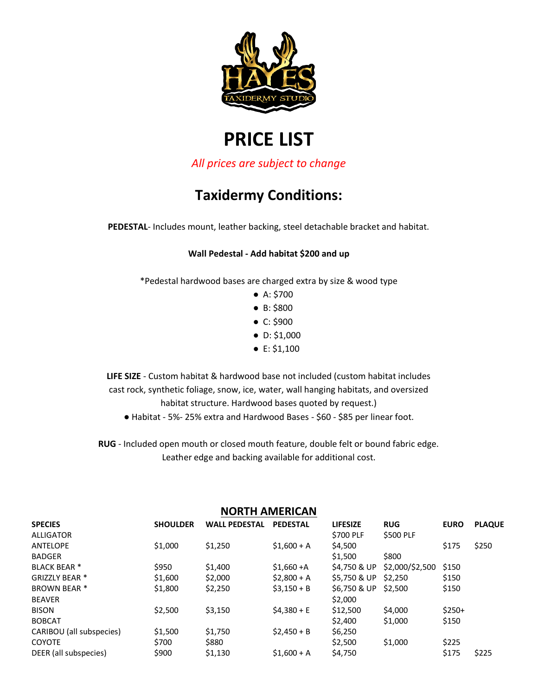

# **PRICE LIST**

*All prices are subject to change*

## **Taxidermy Conditions:**

**PEDESTAL**- Includes mount, leather backing, steel detachable bracket and habitat.

#### **Wall Pedestal - Add habitat \$200 and up**

\*Pedestal hardwood bases are charged extra by size & wood type

- A: \$700
- B: \$800
- C: \$900
- D: \$1,000
- E: \$1,100

**LIFE SIZE** - Custom habitat & hardwood base not included (custom habitat includes cast rock, synthetic foliage, snow, ice, water, wall hanging habitats, and oversized habitat structure. Hardwood bases quoted by request.)

● Habitat - 5%- 25% extra and Hardwood Bases - \$60 - \$85 per linear foot.

**RUG** - Included open mouth or closed mouth feature, double felt or bound fabric edge. Leather edge and backing available for additional cost.

| <b>NORTH AMERICAN</b>    |                 |                      |                 |                  |                 |             |               |
|--------------------------|-----------------|----------------------|-----------------|------------------|-----------------|-------------|---------------|
| <b>SPECIES</b>           | <b>SHOULDER</b> | <b>WALL PEDESTAL</b> | <b>PEDESTAL</b> | <b>LIFESIZE</b>  | <b>RUG</b>      | <b>EURO</b> | <b>PLAQUE</b> |
| <b>ALLIGATOR</b>         |                 |                      |                 | <b>\$700 PLF</b> | \$500 PLF       |             |               |
| <b>ANTELOPE</b>          | \$1,000         | \$1,250              | $$1.600 + A$    | \$4,500          |                 | \$175       | \$250         |
| <b>BADGER</b>            |                 |                      |                 | \$1,500          | \$800           |             |               |
| <b>BLACK BEAR *</b>      | \$950           | \$1,400              | $$1,660+A$      | \$4,750 & UP     | \$2,000/\$2,500 | \$150       |               |
| GRIZZLY BEAR *           | \$1,600         | \$2,000              | $$2,800 + A$    | \$5,750 & UP     | \$2,250         | \$150       |               |
| <b>BROWN BEAR *</b>      | \$1,800         | \$2,250              | $$3,150 + B$    | \$6,750 & UP     | \$2,500         | \$150       |               |
| <b>BEAVER</b>            |                 |                      |                 | \$2,000          |                 |             |               |
| <b>BISON</b>             | \$2,500         | \$3,150              | $$4,380 + E$    | \$12,500         | \$4,000         | $$250+$     |               |
| <b>BOBCAT</b>            |                 |                      |                 | \$2,400          | \$1,000         | \$150       |               |
| CARIBOU (all subspecies) | \$1,500         | \$1,750              | $$2.450 + B$    | \$6,250          |                 |             |               |
| <b>COYOTE</b>            | \$700           | \$880                |                 | \$2,500          | \$1,000         | \$225       |               |
| DEER (all subspecies)    | \$900           | \$1,130              | $$1,600 + A$    | \$4,750          |                 | \$175       | \$225         |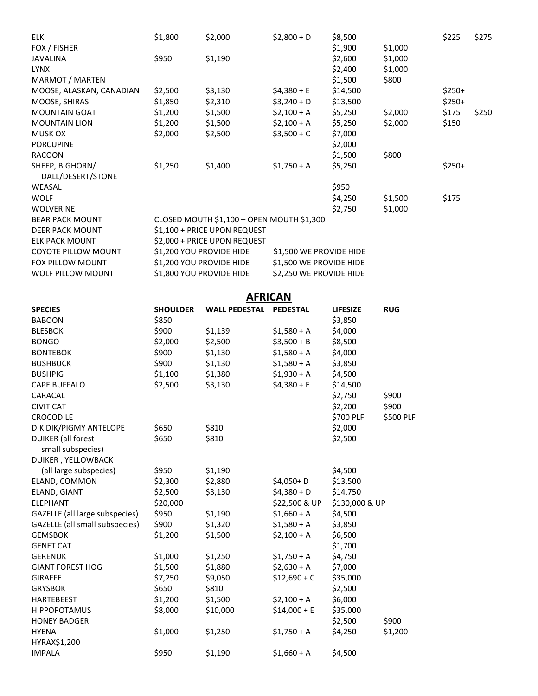| <b>ELK</b>                                     | \$1,800         | \$2,000                                   | $$2,800 + D$            | \$8,500          |            | \$225   | \$275 |
|------------------------------------------------|-----------------|-------------------------------------------|-------------------------|------------------|------------|---------|-------|
| FOX / FISHER                                   |                 |                                           |                         | \$1,900          | \$1,000    |         |       |
| <b>JAVALINA</b>                                | \$950           | \$1,190                                   |                         | \$2,600          | \$1,000    |         |       |
| <b>LYNX</b>                                    |                 |                                           |                         | \$2,400          | \$1,000    |         |       |
| MARMOT / MARTEN                                |                 |                                           |                         | \$1,500          | \$800      |         |       |
| MOOSE, ALASKAN, CANADIAN                       | \$2,500         | \$3,130                                   | $$4,380 + E$            | \$14,500         |            | $$250+$ |       |
| MOOSE, SHIRAS                                  | \$1,850         | \$2,310                                   | $$3,240+D$              | \$13,500         |            | $$250+$ |       |
| <b>MOUNTAIN GOAT</b>                           | \$1,200         | \$1,500                                   | $$2,100+A$              | \$5,250          | \$2,000    | \$175   | \$250 |
| <b>MOUNTAIN LION</b>                           | \$1,200         | \$1,500                                   | $$2,100+A$              | \$5,250          | \$2,000    | \$150   |       |
| <b>MUSK OX</b>                                 | \$2,000         | \$2,500                                   | $$3,500 + C$            | \$7,000          |            |         |       |
| <b>PORCUPINE</b>                               |                 |                                           |                         |                  |            |         |       |
|                                                |                 |                                           |                         | \$2,000          |            |         |       |
| <b>RACOON</b>                                  |                 |                                           |                         | \$1,500          | \$800      |         |       |
| SHEEP, BIGHORN/<br>DALL/DESERT/STONE<br>WEASAL | \$1,250         | \$1,400                                   | $$1,750 + A$            | \$5,250<br>\$950 |            | $$250+$ |       |
| <b>WOLF</b>                                    |                 |                                           |                         | \$4,250          |            | \$175   |       |
|                                                |                 |                                           |                         |                  | \$1,500    |         |       |
| <b>WOLVERINE</b>                               |                 |                                           |                         | \$2,750          | \$1,000    |         |       |
| <b>BEAR PACK MOUNT</b>                         |                 | CLOSED MOUTH \$1,100 - OPEN MOUTH \$1,300 |                         |                  |            |         |       |
| <b>DEER PACK MOUNT</b>                         |                 | \$1,100 + PRICE UPON REQUEST              |                         |                  |            |         |       |
| <b>ELK PACK MOUNT</b>                          |                 | \$2,000 + PRICE UPON REQUEST              |                         |                  |            |         |       |
| <b>COYOTE PILLOW MOUNT</b>                     |                 | \$1,200 YOU PROVIDE HIDE                  | \$1,500 WE PROVIDE HIDE |                  |            |         |       |
| FOX PILLOW MOUNT                               |                 | \$1,200 YOU PROVIDE HIDE                  | \$1,500 WE PROVIDE HIDE |                  |            |         |       |
| WOLF PILLOW MOUNT                              |                 | \$1,800 YOU PROVIDE HIDE                  | \$2,250 WE PROVIDE HIDE |                  |            |         |       |
|                                                |                 |                                           |                         |                  |            |         |       |
|                                                |                 |                                           | <b>AFRICAN</b>          |                  |            |         |       |
| <b>SPECIES</b>                                 | <b>SHOULDER</b> | <b>WALL PEDESTAL</b>                      | <b>PEDESTAL</b>         | <b>LIFESIZE</b>  | <b>RUG</b> |         |       |
| <b>BABOON</b>                                  | \$850           |                                           |                         | \$3,850          |            |         |       |
| <b>BLESBOK</b>                                 | \$900           | \$1,139                                   | $$1,580+A$              | \$4,000          |            |         |       |
| <b>BONGO</b>                                   | \$2,000         | \$2,500                                   | $$3,500 + B$            | \$8,500          |            |         |       |
| <b>BONTEBOK</b>                                | \$900           | \$1,130                                   | $$1,580+A$              | \$4,000          |            |         |       |
| <b>BUSHBUCK</b>                                | \$900           | \$1,130                                   | $$1,580+A$              | \$3,850          |            |         |       |
|                                                |                 |                                           |                         |                  |            |         |       |
| <b>BUSHPIG</b>                                 | \$1,100         | \$1,380                                   | $$1,930 + A$            | \$4,500          |            |         |       |
| <b>CAPE BUFFALO</b>                            | \$2,500         | \$3,130                                   | $$4,380 + E$            | \$14,500         |            |         |       |
| CARACAL                                        |                 |                                           |                         | \$2,750          | \$900      |         |       |
| <b>CIVIT CAT</b>                               |                 |                                           |                         | \$2,200          | \$900      |         |       |
| CROCODILE                                      |                 |                                           |                         | \$700 PLF        | \$500 PLF  |         |       |
| DIK DIK/PIGMY ANTELOPE                         | \$650           | \$810                                     |                         | \$2,000          |            |         |       |
| <b>DUIKER</b> (all forest                      | \$650           | \$810                                     |                         | \$2,500          |            |         |       |
| small subspecies)                              |                 |                                           |                         |                  |            |         |       |
| DUIKER, YELLOWBACK                             |                 |                                           |                         |                  |            |         |       |
| (all large subspecies)                         | \$950           | \$1,190                                   |                         | \$4,500          |            |         |       |
| ELAND, COMMON                                  | \$2,300         | \$2,880                                   | \$4,050+D               | \$13,500         |            |         |       |
| ELAND, GIANT                                   | \$2,500         | \$3,130                                   | $$4,380+D$              | \$14,750         |            |         |       |
| <b>ELEPHANT</b>                                | \$20,000        |                                           | \$22,500 & UP           | \$130,000 & UP   |            |         |       |
| GAZELLE (all large subspecies)                 | \$950           | \$1,190                                   | $$1,660 + A$            | \$4,500          |            |         |       |
| GAZELLE (all small subspecies)                 | \$900           | \$1,320                                   | $$1,580+A$              | \$3,850          |            |         |       |
| <b>GEMSBOK</b>                                 | \$1,200         | \$1,500                                   | $$2,100+A$              | \$6,500          |            |         |       |
|                                                |                 |                                           |                         |                  |            |         |       |
| <b>GENET CAT</b>                               |                 |                                           |                         | \$1,700          |            |         |       |
| <b>GERENUK</b>                                 | \$1,000         | \$1,250                                   | $$1,750 + A$            | \$4,750          |            |         |       |
| <b>GIANT FOREST HOG</b>                        | \$1,500         | \$1,880                                   | $$2,630 + A$            | \$7,000          |            |         |       |
| <b>GIRAFFE</b>                                 | \$7,250         | \$9,050                                   | $$12,690 + C$           | \$35,000         |            |         |       |
| <b>GRYSBOK</b>                                 | \$650           | \$810                                     |                         | \$2,500          |            |         |       |
| <b>HARTEBEEST</b>                              | \$1,200         | \$1,500                                   | $$2,100+A$              | \$6,000          |            |         |       |
| <b>HIPPOPOTAMUS</b>                            | \$8,000         | \$10,000                                  | $$14,000 + E$           | \$35,000         |            |         |       |
| <b>HONEY BADGER</b>                            |                 |                                           |                         | \$2,500          | \$900      |         |       |
| <b>HYENA</b>                                   | \$1,000         | \$1,250                                   | $$1,750 + A$            | \$4,250          | \$1,200    |         |       |
| HYRAX\$1,200                                   |                 |                                           |                         |                  |            |         |       |
| <b>IMPALA</b>                                  | \$950           | \$1,190                                   | $$1,660 + A$            | \$4,500          |            |         |       |
|                                                |                 |                                           |                         |                  |            |         |       |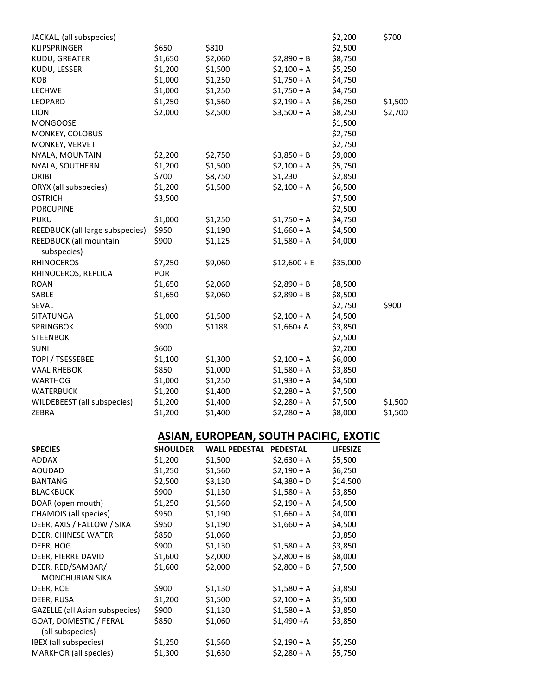| JACKAL, (all subspecies)              |         |         |               | \$2,200  | \$700   |
|---------------------------------------|---------|---------|---------------|----------|---------|
| KLIPSPRINGER                          | \$650   | \$810   |               | \$2,500  |         |
| KUDU, GREATER                         | \$1,650 | \$2,060 | $$2,890 + B$  | \$8,750  |         |
| KUDU, LESSER                          | \$1,200 | \$1,500 | $$2,100+A$    | \$5,250  |         |
| KOB                                   | \$1,000 | \$1,250 | $$1,750 + A$  | \$4,750  |         |
| <b>LECHWE</b>                         | \$1,000 | \$1,250 | $$1,750 + A$  | \$4,750  |         |
| LEOPARD                               | \$1,250 | \$1,560 | $$2,190+A$    | \$6,250  | \$1,500 |
| <b>LION</b>                           | \$2,000 | \$2,500 | $$3,500 + A$  | \$8,250  | \$2,700 |
| <b>MONGOOSE</b>                       |         |         |               | \$1,500  |         |
| MONKEY, COLOBUS                       |         |         |               | \$2,750  |         |
| MONKEY, VERVET                        |         |         |               | \$2,750  |         |
| NYALA, MOUNTAIN                       | \$2,200 | \$2,750 | $$3,850 + B$  | \$9,000  |         |
| NYALA, SOUTHERN                       | \$1,200 | \$1,500 | $$2,100 + A$  | \$5,750  |         |
| ORIBI                                 | \$700   | \$8,750 | \$1,230       | \$2,850  |         |
| ORYX (all subspecies)                 | \$1,200 | \$1,500 | $$2,100+A$    | \$6,500  |         |
| <b>OSTRICH</b>                        | \$3,500 |         |               | \$7,500  |         |
| <b>PORCUPINE</b>                      |         |         |               | \$2,500  |         |
| <b>PUKU</b>                           | \$1,000 | \$1,250 | $$1,750 + A$  | \$4,750  |         |
| REEDBUCK (all large subspecies)       | \$950   | \$1,190 | $$1,660 + A$  | \$4,500  |         |
| REEDBUCK (all mountain<br>subspecies) | \$900   | \$1,125 | $$1,580 + A$  | \$4,000  |         |
| <b>RHINOCEROS</b>                     | \$7,250 | \$9,060 | $$12,600 + E$ | \$35,000 |         |
| RHINOCEROS, REPLICA                   | POR     |         |               |          |         |
| <b>ROAN</b>                           | \$1,650 | \$2,060 | $$2,890 + B$  | \$8,500  |         |
| SABLE                                 | \$1,650 | \$2,060 | $$2,890 + B$  | \$8,500  |         |
| SEVAL                                 |         |         |               | \$2,750  | \$900   |
| <b>SITATUNGA</b>                      | \$1,000 | \$1,500 | $$2,100+A$    | \$4,500  |         |
| <b>SPRINGBOK</b>                      | \$900   | \$1188  | $$1,660+ A$   | \$3,850  |         |
| <b>STEENBOK</b>                       |         |         |               | \$2,500  |         |
| <b>SUNI</b>                           | \$600   |         |               | \$2,200  |         |
| TOPI / TSESSEBEE                      | \$1,100 | \$1,300 | $$2,100+A$    | \$6,000  |         |
| <b>VAAL RHEBOK</b>                    | \$850   | \$1,000 | $$1,580 + A$  | \$3,850  |         |
| <b>WARTHOG</b>                        | \$1,000 | \$1,250 | $$1,930 + A$  | \$4,500  |         |
| <b>WATERBUCK</b>                      | \$1,200 | \$1,400 | $$2,280+A$    | \$7,500  |         |
| WILDEBEEST (all subspecies)           | \$1,200 | \$1,400 | $$2,280+A$    | \$7,500  | \$1,500 |
| ZEBRA                                 | \$1,200 | \$1,400 | $$2,280 + A$  | \$8,000  | \$1,500 |
|                                       |         |         |               |          |         |

### **ASIAN, EUROPEAN, SOUTH PACIFIC, EXOTIC**

| <b>SPECIES</b>                        | <b>SHOULDER</b> | <b>WALL PEDESTAL</b> | <b>PEDESTAL</b> | <b>LIFESIZE</b> |
|---------------------------------------|-----------------|----------------------|-----------------|-----------------|
| <b>ADDAX</b>                          | \$1,200         | \$1,500              | $$2,630 + A$    | \$5,500         |
| AOUDAD                                | \$1,250         | \$1,560              | \$2,190 + A     | \$6,250         |
| <b>BANTANG</b>                        | \$2,500         | \$3,130              | $$4,380+D$      | \$14,500        |
| <b>BLACKBUCK</b>                      | \$900           | \$1,130              | $$1,580 + A$    | \$3,850         |
| BOAR (open mouth)                     | \$1,250         | \$1,560              | $$2,190 + A$    | \$4,500         |
| CHAMOIS (all species)                 | \$950           | \$1,190              | $$1,660 + A$    | \$4,000         |
| DEER, AXIS / FALLOW / SIKA            | \$950           | \$1,190              | $$1,660+A$      | \$4,500         |
| DEER, CHINESE WATER                   | \$850           | \$1,060              |                 | \$3,850         |
| DEER, HOG                             | \$900           | \$1,130              | $$1,580 + A$    | \$3,850         |
| DEER, PIERRE DAVID                    | \$1,600         | \$2,000              | $$2,800 + B$    | \$8,000         |
| DEER, RED/SAMBAR/                     | \$1,600         | \$2,000              | $$2,800 + B$    | \$7,500         |
| <b>MONCHURIAN SIKA</b>                |                 |                      |                 |                 |
| DEER, ROE                             | \$900           | \$1,130              | $$1,580 + A$    | \$3,850         |
| DEER, RUSA                            | \$1,200         | \$1,500              | $$2,100 + A$    | \$5,500         |
| <b>GAZELLE</b> (all Asian subspecies) | \$900           | \$1,130              | $$1,580 + A$    | \$3,850         |
| GOAT, DOMESTIC / FERAL                | \$850           | \$1,060              | \$1,490 + A     | \$3,850         |
| (all subspecies)                      |                 |                      |                 |                 |
| IBEX (all subspecies)                 | \$1,250         | \$1,560              | $$2,190+A$      | \$5,250         |
| <b>MARKHOR</b> (all species)          | \$1,300         | \$1,630              | $$2,280+A$      | \$5,750         |